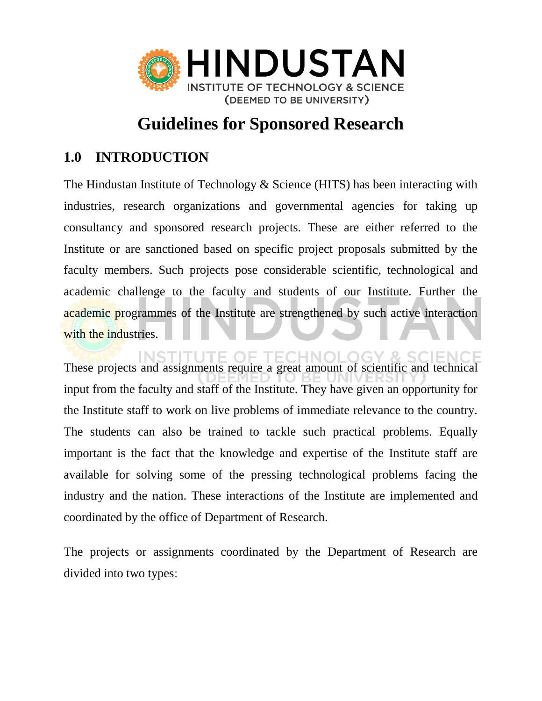

# **Guidelines for Sponsored Research**

# **1.0 INTRODUCTION**

The Hindustan Institute of Technology & Science (HITS) has been interacting with industries, research organizations and governmental agencies for taking up consultancy and sponsored research projects. These are either referred to the Institute or are sanctioned based on specific project proposals submitted by the faculty members. Such projects pose considerable scientific, technological and academic challenge to the faculty and students of our Institute. Further the academic programmes of the Institute are strengthened by such active interaction with the industries.

These projects and assignments require a great amount of scientific and technical input from the faculty and staff of the Institute. They have given an opportunity for the Institute staff to work on live problems of immediate relevance to the country. The students can also be trained to tackle such practical problems. Equally important is the fact that the knowledge and expertise of the Institute staff are available for solving some of the pressing technological problems facing the industry and the nation. These interactions of the Institute are implemented and coordinated by the office of Department of Research.

The projects or assignments coordinated by the Department of Research are divided into two types: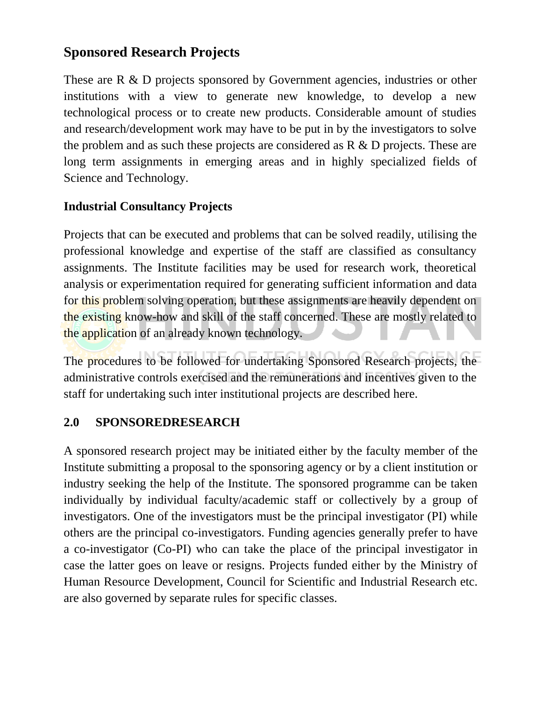# **Sponsored Research Projects**

These are R & D projects sponsored by Government agencies, industries or other institutions with a view to generate new knowledge, to develop a new technological process or to create new products. Considerable amount of studies and research/development work may have to be put in by the investigators to solve the problem and as such these projects are considered as R & D projects. These are long term assignments in emerging areas and in highly specialized fields of Science and Technology.

# **Industrial Consultancy Projects**

Projects that can be executed and problems that can be solved readily, utilising the professional knowledge and expertise of the staff are classified as consultancy assignments. The Institute facilities may be used for research work, theoretical analysis or experimentation required for generating sufficient information and data for this problem solving operation, but these assignments are heavily dependent on the existing know-how and skill of the staff concerned. These are mostly related to the application of an already known technology.

The procedures to be followed for undertaking Sponsored Research projects, the administrative controls exercised and the remunerations and incentives given to the staff for undertaking such inter institutional projects are described here.

# **2.0 SPONSOREDRESEARCH**

A sponsored research project may be initiated either by the faculty member of the Institute submitting a proposal to the sponsoring agency or by a client institution or industry seeking the help of the Institute. The sponsored programme can be taken individually by individual faculty/academic staff or collectively by a group of investigators. One of the investigators must be the principal investigator (PI) while others are the principal co-investigators. Funding agencies generally prefer to have a co-investigator (Co-PI) who can take the place of the principal investigator in case the latter goes on leave or resigns. Projects funded either by the Ministry of Human Resource Development, Council for Scientific and Industrial Research etc. are also governed by separate rules for specific classes.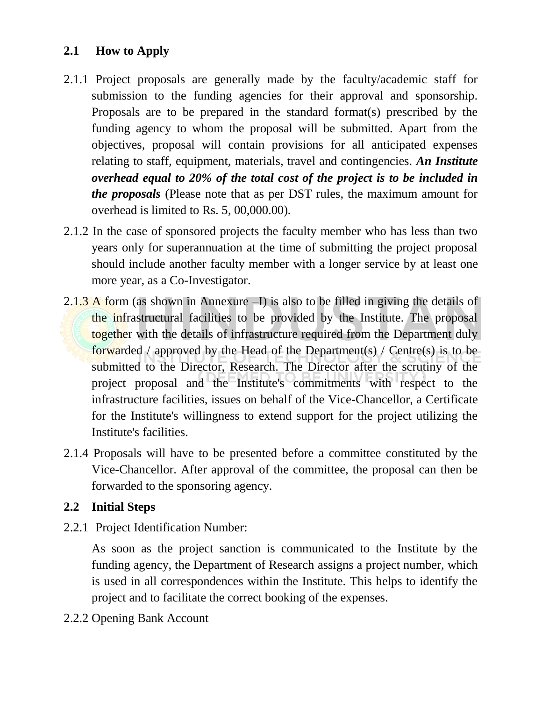#### **2.1 How to Apply**

- 2.1.1 Project proposals are generally made by the faculty/academic staff for submission to the funding agencies for their approval and sponsorship. Proposals are to be prepared in the standard format(s) prescribed by the funding agency to whom the proposal will be submitted. Apart from the objectives, proposal will contain provisions for all anticipated expenses relating to staff, equipment, materials, travel and contingencies. *An Institute overhead equal to 20% of the total cost of the project is to be included in the proposals* (Please note that as per DST rules, the maximum amount for overhead is limited to Rs. 5, 00,000.00)*.*
- 2.1.2 In the case of sponsored projects the faculty member who has less than two years only for superannuation at the time of submitting the project proposal should include another faculty member with a longer service by at least one more year, as a Co-Investigator.
- 2.1.3 A form (as shown in Annexure –I) is also to be filled in giving the details of the infrastructural facilities to be provided by the Institute. The proposal together with the details of infrastructure required from the Department duly forwarded / approved by the Head of the Department(s) / Centre(s) is to be submitted to the Director, Research. The Director after the scrutiny of the project proposal and the Institute's commitments with respect to the infrastructure facilities, issues on behalf of the Vice-Chancellor, a Certificate for the Institute's willingness to extend support for the project utilizing the Institute's facilities.
- 2.1.4 Proposals will have to be presented before a committee constituted by the Vice-Chancellor. After approval of the committee, the proposal can then be forwarded to the sponsoring agency.

#### **2.2 Initial Steps**

2.2.1 Project Identification Number:

As soon as the project sanction is communicated to the Institute by the funding agency, the Department of Research assigns a project number, which is used in all correspondences within the Institute. This helps to identify the project and to facilitate the correct booking of the expenses.

2.2.2 Opening Bank Account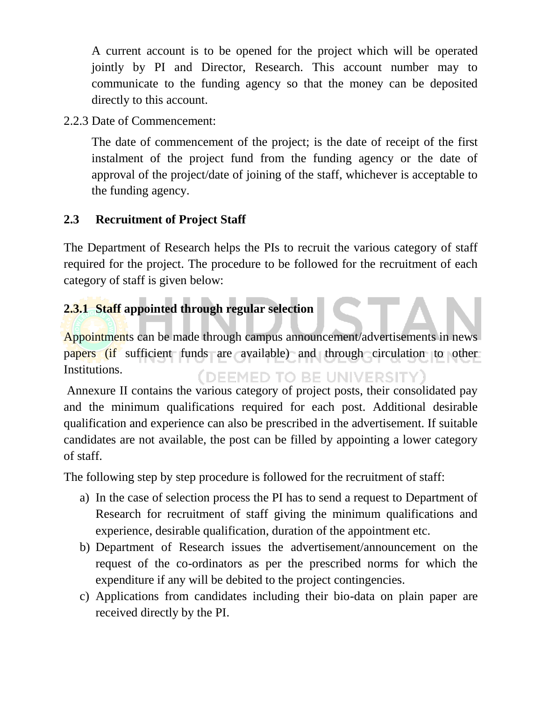A current account is to be opened for the project which will be operated jointly by PI and Director, Research. This account number may to communicate to the funding agency so that the money can be deposited directly to this account.

2.2.3 Date of Commencement:

The date of commencement of the project; is the date of receipt of the first instalment of the project fund from the funding agency or the date of approval of the project/date of joining of the staff, whichever is acceptable to the funding agency.

# **2.3 Recruitment of Project Staff**

The Department of Research helps the PIs to recruit the various category of staff required for the project. The procedure to be followed for the recruitment of each category of staff is given below:

# **2.3.1 Staff appointed through regular selection**

Appointments can be made through campus announcement/advertisements in news papers (if sufficient funds are available) and through circulation to other Institutions. (DEEMED TO BE UNIVERSITY)

Annexure II contains the various category of project posts, their consolidated pay and the minimum qualifications required for each post. Additional desirable qualification and experience can also be prescribed in the advertisement. If suitable candidates are not available, the post can be filled by appointing a lower category of staff.

The following step by step procedure is followed for the recruitment of staff:

- a) In the case of selection process the PI has to send a request to Department of Research for recruitment of staff giving the minimum qualifications and experience, desirable qualification, duration of the appointment etc.
- b) Department of Research issues the advertisement/announcement on the request of the co-ordinators as per the prescribed norms for which the expenditure if any will be debited to the project contingencies.
- c) Applications from candidates including their bio-data on plain paper are received directly by the PI.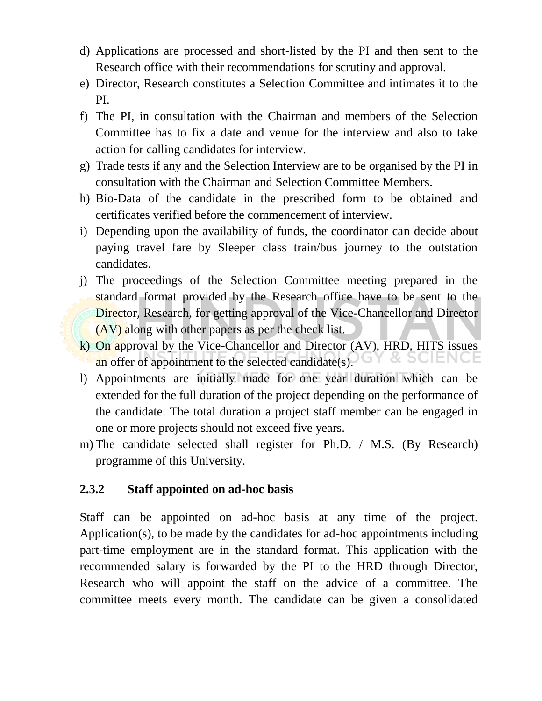- d) Applications are processed and short-listed by the PI and then sent to the Research office with their recommendations for scrutiny and approval.
- e) Director, Research constitutes a Selection Committee and intimates it to the PI.
- f) The PI, in consultation with the Chairman and members of the Selection Committee has to fix a date and venue for the interview and also to take action for calling candidates for interview.
- g) Trade tests if any and the Selection Interview are to be organised by the PI in consultation with the Chairman and Selection Committee Members.
- h) Bio-Data of the candidate in the prescribed form to be obtained and certificates verified before the commencement of interview.
- i) Depending upon the availability of funds, the coordinator can decide about paying travel fare by Sleeper class train/bus journey to the outstation candidates.
- j) The proceedings of the Selection Committee meeting prepared in the standard format provided by the Research office have to be sent to the Director, Research, for getting approval of the Vice-Chancellor and Director (AV) along with other papers as per the check list.
- k) On approval by the Vice-Chancellor and Director (AV), HRD, HITS issues an offer of appointment to the selected candidate(s). Ŏ. **SCIENCE**
- l) Appointments are initially made for one year duration which can be extended for the full duration of the project depending on the performance of the candidate. The total duration a project staff member can be engaged in one or more projects should not exceed five years.
- m) The candidate selected shall register for Ph.D. / M.S. (By Research) programme of this University.

#### **2.3.2 Staff appointed on ad-hoc basis**

Staff can be appointed on ad-hoc basis at any time of the project. Application(s), to be made by the candidates for ad-hoc appointments including part-time employment are in the standard format. This application with the recommended salary is forwarded by the PI to the HRD through Director, Research who will appoint the staff on the advice of a committee. The committee meets every month. The candidate can be given a consolidated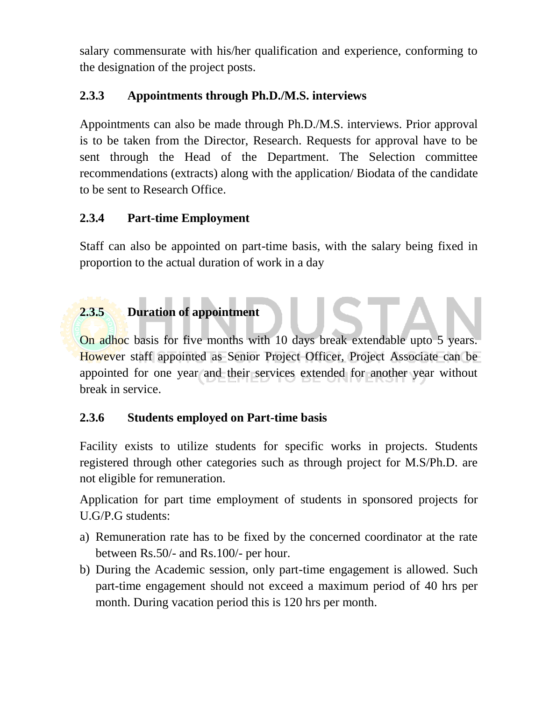salary commensurate with his/her qualification and experience, conforming to the designation of the project posts.

### **2.3.3 Appointments through Ph.D./M.S. interviews**

Appointments can also be made through Ph.D./M.S. interviews. Prior approval is to be taken from the Director, Research. Requests for approval have to be sent through the Head of the Department. The Selection committee recommendations (extracts) along with the application/ Biodata of the candidate to be sent to Research Office.

#### **2.3.4 Part-time Employment**

Staff can also be appointed on part-time basis, with the salary being fixed in proportion to the actual duration of work in a day

# **2.3.5 Duration of appointment**

On adhoc basis for five months with 10 days break extendable upto 5 years. However staff appointed as Senior Project Officer, Project Associate can be appointed for one year and their services extended for another year without break in service.

# **2.3.6 Students employed on Part-time basis**

Facility exists to utilize students for specific works in projects. Students registered through other categories such as through project for M.S/Ph.D. are not eligible for remuneration.

Application for part time employment of students in sponsored projects for U.G/P.G students:

- a) Remuneration rate has to be fixed by the concerned coordinator at the rate between Rs.50/- and Rs.100/- per hour.
- b) During the Academic session, only part-time engagement is allowed. Such part-time engagement should not exceed a maximum period of 40 hrs per month. During vacation period this is 120 hrs per month.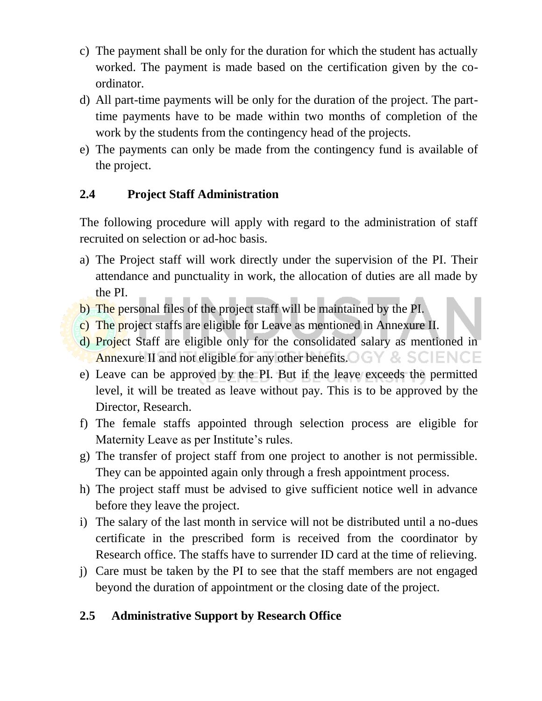- c) The payment shall be only for the duration for which the student has actually worked. The payment is made based on the certification given by the coordinator.
- d) All part-time payments will be only for the duration of the project. The parttime payments have to be made within two months of completion of the work by the students from the contingency head of the projects.
- e) The payments can only be made from the contingency fund is available of the project.

# **2.4 Project Staff Administration**

The following procedure will apply with regard to the administration of staff recruited on selection or ad-hoc basis.

- a) The Project staff will work directly under the supervision of the PI. Their attendance and punctuality in work, the allocation of duties are all made by the PI.
- b) The personal files of the project staff will be maintained by the PI.
- c) The project staffs are eligible for Leave as mentioned in Annexure II.
- d) Project Staff are eligible only for the consolidated salary as mentioned in Annexure II and not eligible for any other benefits.  $\bigcirc$   $\bigcirc$   $\bigcirc$   $\bigcirc$   $\bigcirc$   $\bigcirc$   $\bigcirc$   $\bigcirc$   $\bigcirc$   $\bigcirc$   $\bigcirc$   $\bigcirc$   $\bigcirc$   $\bigcirc$   $\bigcirc$   $\bigcirc$   $\bigcirc$   $\bigcirc$   $\bigcirc$   $\bigcirc$   $\bigcirc$   $\bigcirc$   $\bigcirc$   $\bigcirc$   $\bigcirc$   $\bigcirc$   $\bigcirc$   $\bigcirc$
- e) Leave can be approved by the PI. But if the leave exceeds the permitted level, it will be treated as leave without pay. This is to be approved by the Director, Research.
- f) The female staffs appointed through selection process are eligible for Maternity Leave as per Institute's rules.
- g) The transfer of project staff from one project to another is not permissible. They can be appointed again only through a fresh appointment process.
- h) The project staff must be advised to give sufficient notice well in advance before they leave the project.
- i) The salary of the last month in service will not be distributed until a no-dues certificate in the prescribed form is received from the coordinator by Research office. The staffs have to surrender ID card at the time of relieving.
- j) Care must be taken by the PI to see that the staff members are not engaged beyond the duration of appointment or the closing date of the project.

# **2.5 Administrative Support by Research Office**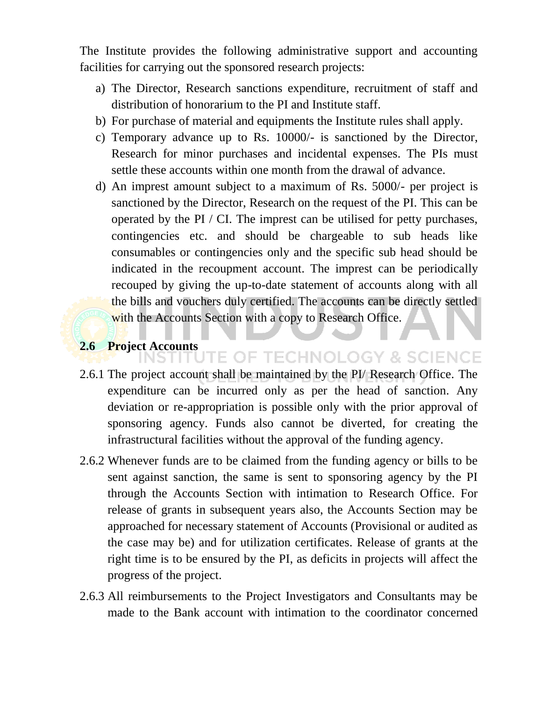The Institute provides the following administrative support and accounting facilities for carrying out the sponsored research projects:

- a) The Director, Research sanctions expenditure, recruitment of staff and distribution of honorarium to the PI and Institute staff.
- b) For purchase of material and equipments the Institute rules shall apply.
- c) Temporary advance up to Rs. 10000/- is sanctioned by the Director, Research for minor purchases and incidental expenses. The PIs must settle these accounts within one month from the drawal of advance.
- d) An imprest amount subject to a maximum of Rs. 5000/- per project is sanctioned by the Director, Research on the request of the PI. This can be operated by the PI / CI. The imprest can be utilised for petty purchases, contingencies etc. and should be chargeable to sub heads like consumables or contingencies only and the specific sub head should be indicated in the recoupment account. The imprest can be periodically recouped by giving the up-to-date statement of accounts along with all the bills and vouchers duly certified. The accounts can be directly settled with the Accounts Section with a copy to Research Office.

# **2.6 Project Accounts**

- 2.6.1 The project account shall be maintained by the PI/ Research Office. The expenditure can be incurred only as per the head of sanction. Any deviation or re-appropriation is possible only with the prior approval of sponsoring agency. Funds also cannot be diverted, for creating the infrastructural facilities without the approval of the funding agency.
- 2.6.2 Whenever funds are to be claimed from the funding agency or bills to be sent against sanction, the same is sent to sponsoring agency by the PI through the Accounts Section with intimation to Research Office. For release of grants in subsequent years also, the Accounts Section may be approached for necessary statement of Accounts (Provisional or audited as the case may be) and for utilization certificates. Release of grants at the right time is to be ensured by the PI, as deficits in projects will affect the progress of the project.
- 2.6.3 All reimbursements to the Project Investigators and Consultants may be made to the Bank account with intimation to the coordinator concerned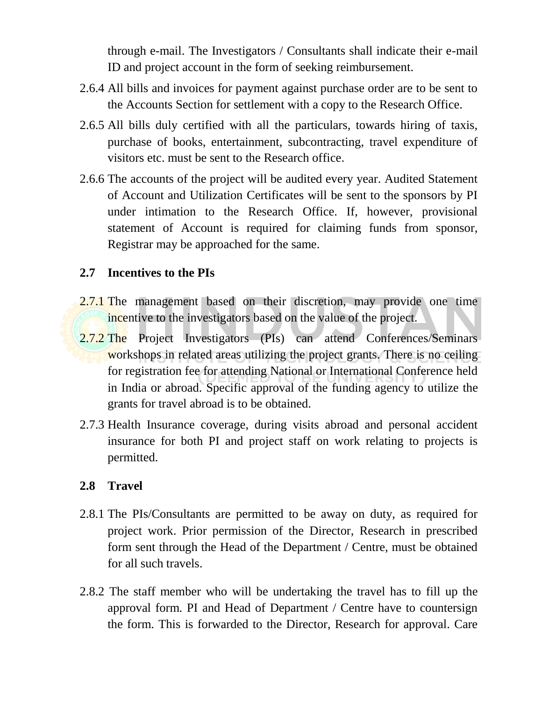through e-mail. The Investigators / Consultants shall indicate their e-mail ID and project account in the form of seeking reimbursement.

- 2.6.4 All bills and invoices for payment against purchase order are to be sent to the Accounts Section for settlement with a copy to the Research Office.
- 2.6.5 All bills duly certified with all the particulars, towards hiring of taxis, purchase of books, entertainment, subcontracting, travel expenditure of visitors etc. must be sent to the Research office.
- 2.6.6 The accounts of the project will be audited every year. Audited Statement of Account and Utilization Certificates will be sent to the sponsors by PI under intimation to the Research Office. If, however, provisional statement of Account is required for claiming funds from sponsor, Registrar may be approached for the same.

#### **2.7 Incentives to the PIs**

- 2.7.1 The management based on their discretion, may provide one time incentive to the investigators based on the value of the project.
- 2.7.2 The Project Investigators (PIs) can attend Conferences/Seminars workshops in related areas utilizing the project grants. There is no ceiling for registration fee for attending National or International Conference held in India or abroad. Specific approval of the funding agency to utilize the grants for travel abroad is to be obtained.
- 2.7.3 Health Insurance coverage, during visits abroad and personal accident insurance for both PI and project staff on work relating to projects is permitted.

#### **2.8 Travel**

- 2.8.1 The PIs/Consultants are permitted to be away on duty, as required for project work. Prior permission of the Director, Research in prescribed form sent through the Head of the Department / Centre, must be obtained for all such travels.
- 2.8.2 The staff member who will be undertaking the travel has to fill up the approval form. PI and Head of Department / Centre have to countersign the form. This is forwarded to the Director, Research for approval. Care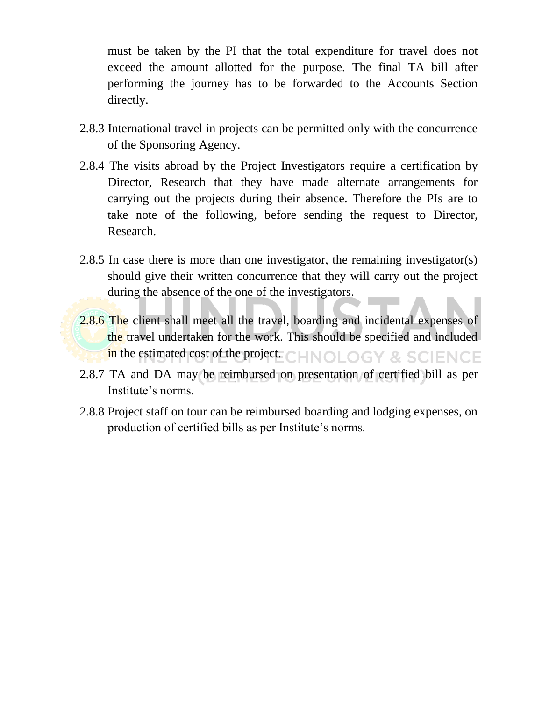must be taken by the PI that the total expenditure for travel does not exceed the amount allotted for the purpose. The final TA bill after performing the journey has to be forwarded to the Accounts Section directly.

- 2.8.3 International travel in projects can be permitted only with the concurrence of the Sponsoring Agency.
- 2.8.4 The visits abroad by the Project Investigators require a certification by Director, Research that they have made alternate arrangements for carrying out the projects during their absence. Therefore the PIs are to take note of the following, before sending the request to Director, Research.
- 2.8.5 In case there is more than one investigator, the remaining investigator(s) should give their written concurrence that they will carry out the project during the absence of the one of the investigators.
- 2.8.6 The client shall meet all the travel, boarding and incidental expenses of the travel undertaken for the work. This should be specified and included in the estimated cost of the project. CHNOLOGY & SCIENCE
- 2.8.7 TA and DA may be reimbursed on presentation of certified bill as per Institute's norms.
- 2.8.8 Project staff on tour can be reimbursed boarding and lodging expenses, on production of certified bills as per Institute's norms.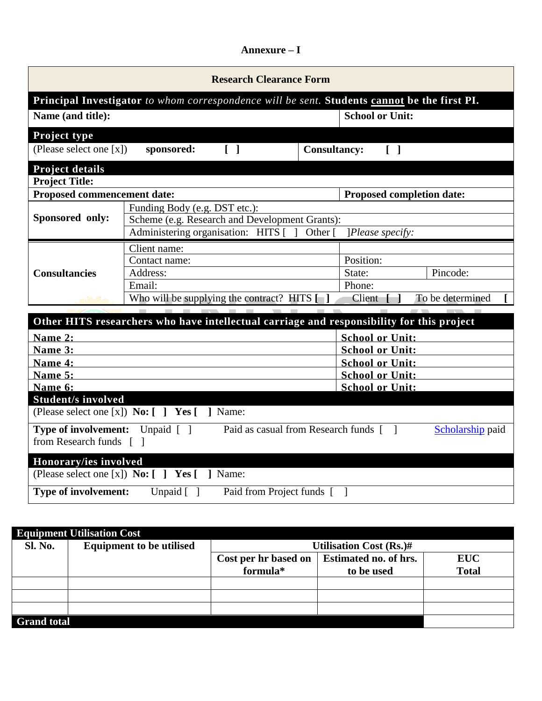#### **Annexure – I**

| <b>Research Clearance Form</b>                                                                                                 |                                                                                           |                        |                                   |                  |
|--------------------------------------------------------------------------------------------------------------------------------|-------------------------------------------------------------------------------------------|------------------------|-----------------------------------|------------------|
| Principal Investigator to whom correspondence will be sent. Students cannot be the first PI.                                   |                                                                                           |                        |                                   |                  |
| Name (and title):                                                                                                              |                                                                                           |                        | <b>School or Unit:</b>            |                  |
| Project type                                                                                                                   |                                                                                           |                        |                                   |                  |
| (Please select one [x])                                                                                                        | sponsored:<br>$\begin{bmatrix} 1 \end{bmatrix}$                                           | <b>Consultancy:</b>    | $\begin{bmatrix} 1 \end{bmatrix}$ |                  |
| <b>Project details</b>                                                                                                         |                                                                                           |                        |                                   |                  |
| <b>Project Title:</b>                                                                                                          |                                                                                           |                        |                                   |                  |
| <b>Proposed commencement date:</b>                                                                                             |                                                                                           |                        | Proposed completion date:         |                  |
|                                                                                                                                | Funding Body (e.g. DST etc.):                                                             |                        |                                   |                  |
| Sponsored only:                                                                                                                | Scheme (e.g. Research and Development Grants):                                            |                        |                                   |                  |
|                                                                                                                                | Administering organisation: HITS [                                                        | Other [                | [Please specify:                  |                  |
|                                                                                                                                | Client name:                                                                              |                        |                                   |                  |
|                                                                                                                                | Contact name:                                                                             |                        | Position:                         |                  |
| <b>Consultancies</b>                                                                                                           | Address:                                                                                  |                        | State:                            | Pincode:         |
|                                                                                                                                | Email:                                                                                    |                        | Phone:                            |                  |
|                                                                                                                                | Who will be supplying the contract? HITS $[\ ]$                                           |                        | Client                            | To be determined |
|                                                                                                                                | Other HITS researchers who have intellectual carriage and responsibility for this project |                        |                                   |                  |
| Name 2:                                                                                                                        |                                                                                           |                        | <b>School or Unit:</b>            |                  |
| Name 3:                                                                                                                        |                                                                                           |                        | <b>School or Unit:</b>            |                  |
| Name 4:                                                                                                                        |                                                                                           | <b>School or Unit:</b> |                                   |                  |
| Name 5:                                                                                                                        |                                                                                           |                        | <b>School or Unit:</b>            |                  |
| Name 6:                                                                                                                        |                                                                                           | <b>School or Unit:</b> |                                   |                  |
| <b>Student/s involved</b>                                                                                                      |                                                                                           |                        |                                   |                  |
| (Please select one [x]) <b>No:</b> [ ] <b>Yes</b> [ ] Name:                                                                    |                                                                                           |                        |                                   |                  |
| <b>Type of involvement:</b> Unpaid []<br>Paid as casual from Research funds [ ]<br>Scholarship paid<br>from Research funds [ ] |                                                                                           |                        |                                   |                  |
| Honorary/ies involved                                                                                                          |                                                                                           |                        |                                   |                  |
| (Please select one [x]) <b>No:</b> $\begin{bmatrix} 1 \end{bmatrix}$ <b>Yes</b> $\begin{bmatrix} 1 \end{bmatrix}$ <b>Name:</b> |                                                                                           |                        |                                   |                  |
| <b>Type of involvement:</b><br>Unpaid $\lceil$ $\rceil$<br>Paid from Project funds [ ]                                         |                                                                                           |                        |                                   |                  |

| <b>Equipment Utilisation Cost</b> |                                 |                                |                       |              |
|-----------------------------------|---------------------------------|--------------------------------|-----------------------|--------------|
| <b>Sl. No.</b>                    | <b>Equipment to be utilised</b> | <b>Utilisation Cost (Rs.)#</b> |                       |              |
|                                   |                                 | Cost per hr based on           | Estimated no. of hrs. | <b>EUC</b>   |
|                                   |                                 | formula*                       | to be used            | <b>Total</b> |
|                                   |                                 |                                |                       |              |
|                                   |                                 |                                |                       |              |
|                                   |                                 |                                |                       |              |
| <b>Grand total</b>                |                                 |                                |                       |              |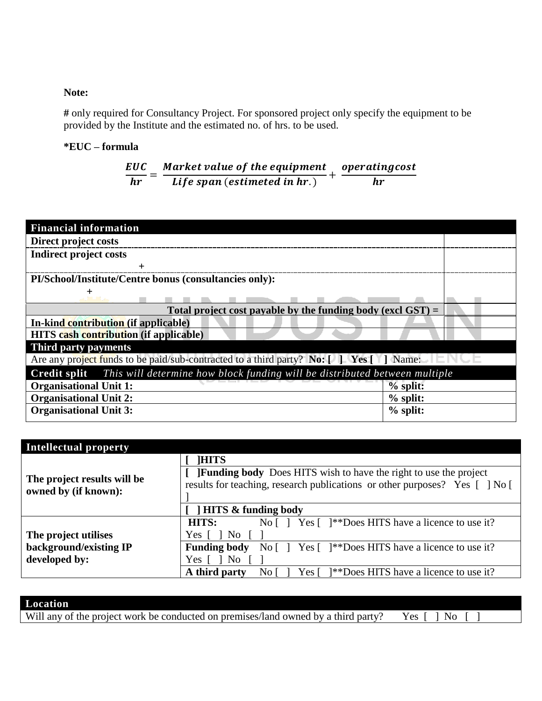#### **Note:**

**#** only required for Consultancy Project. For sponsored project only specify the equipment to be provided by the Institute and the estimated no. of hrs. to be used.

#### **\*EUC – formula**

$$
\frac{EUC}{hr} = \frac{Market\ value\ of\ the\ equipment}{Life\ span\ (estimated\ in\ hr.)} + \frac{operatingcost}{hr}
$$

| <b>Financial information</b>                                                                                                |            |  |
|-----------------------------------------------------------------------------------------------------------------------------|------------|--|
| Direct project costs                                                                                                        |            |  |
| Indirect project costs                                                                                                      |            |  |
|                                                                                                                             |            |  |
| PI/School/Institute/Centre bonus (consultancies only):                                                                      |            |  |
|                                                                                                                             |            |  |
| Total project cost payable by the funding body (excl $\text{GST}$ ) =                                                       |            |  |
| In-kind contribution (if applicable)                                                                                        |            |  |
| <b>HITS</b> cash contribution (if applicable)                                                                               |            |  |
| Third party payments                                                                                                        |            |  |
| Are any project funds to be paid/sub-contracted to a third party? No: $\lceil \cdot \rceil$ Yes $\lceil \cdot \rceil$ Name: |            |  |
| <b>Credit split</b> This will determine how block funding will be distributed between multiple                              |            |  |
| <b>Organisational Unit 1:</b>                                                                                               | $%$ split: |  |
| <b>Organisational Unit 2:</b>                                                                                               | $%$ split: |  |
| <b>Organisational Unit 3:</b>                                                                                               | $%$ split: |  |

| <b>Intellectual property</b>                        |                                                                                                                 |  |  |
|-----------------------------------------------------|-----------------------------------------------------------------------------------------------------------------|--|--|
|                                                     | <b>HITS</b>                                                                                                     |  |  |
|                                                     | <b>JFunding body</b> Does HITS wish to have the right to use the project                                        |  |  |
| The project results will be<br>owned by (if known): | results for teaching, research publications or other purposes? Yes [] No [                                      |  |  |
|                                                     |                                                                                                                 |  |  |
|                                                     | <b>HITS &amp; funding body</b>                                                                                  |  |  |
|                                                     | No $\lceil \cdot \rceil$ Yes $\lceil \cdot \rceil$ **Does HITS have a licence to use it?<br>HITS:               |  |  |
| The project utilises                                | Yes [<br>N <sub>0</sub>                                                                                         |  |  |
| background/existing IP                              | <b>Funding body</b><br>No $\lceil \cdot \rceil$ Yes $\lceil \cdot \rceil$ **Does HITS have a licence to use it? |  |  |
| developed by:<br>No<br>Yes [                        |                                                                                                                 |  |  |
|                                                     | A third party<br><sup>2</sup> *Ness HITS have a licence to use it?<br>Yes [<br>No.                              |  |  |

| Location                                                                           |  |
|------------------------------------------------------------------------------------|--|
| Will any of the project work be conducted on premises/land owned by a third party? |  |
|                                                                                    |  |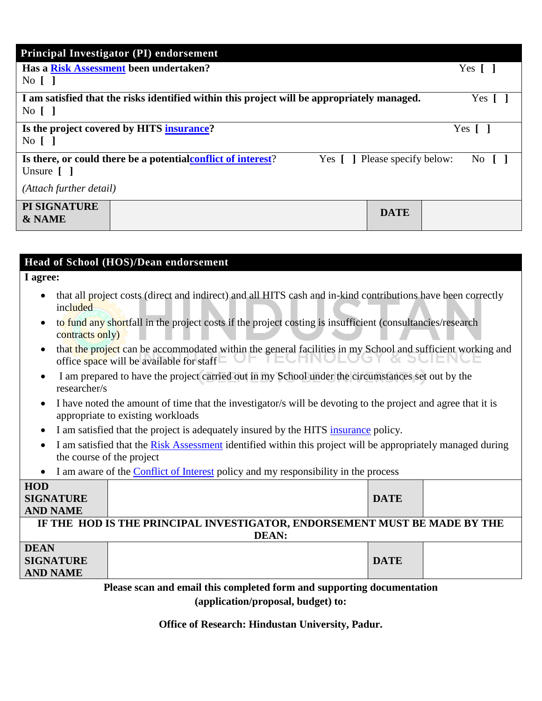|                                              | Principal Investigator (PI) endorsement                                                     |                              |              |
|----------------------------------------------|---------------------------------------------------------------------------------------------|------------------------------|--------------|
|                                              | Has a Risk Assessment been undertaken?                                                      |                              | Yes [        |
| $\overline{N}$ $\overline{0}$ $\overline{1}$ |                                                                                             |                              |              |
| $\overline{N}$ [ ]                           | I am satisfied that the risks identified within this project will be appropriately managed. |                              | $Yes \Gamma$ |
| $\overline{N_0}$ $\overline{)$               | Is the project covered by HITS insurance?                                                   |                              | Yes 1        |
| Unsure $\lceil \; \rceil$                    | Is there, or could there be a potential conflict of interest?                               | Yes [] Please specify below: | No.          |
| (Attach further detail)                      |                                                                                             |                              |              |
| PI SIGNATURE<br><b>&amp; NAME</b>            |                                                                                             | <b>DATE</b>                  |              |

#### **Head of School (HOS)/Dean endorsement**

#### **I agree:**

- that all project costs (direct and indirect) and all HITS cash and in-kind contributions have been correctly included
- to fund any shortfall in the project costs if the project costing is insufficient (consultancies/research contracts only)
- that the project can be accommodated within the general facilities in my School and sufficient working and JE TECHIN( office space will be available for staff
- I am prepared to have the project carried out in my School under the circumstances set out by the researcher/s
- I have noted the amount of time that the investigator/s will be devoting to the project and agree that it is appropriate to existing workloads
- I am satisfied that the project is adequately insured by the HITS [insurance](http://www.utas.edu.au/research/funding/applying-for-funding/insurance) policy.
- I am satisfied that the [Risk Assessment](http://www.utas.edu.au/research/funding/applying-for-funding/risk-assessment) identified within this project will be appropriately managed during the course of the project
- I am aware of the [Conflict of Interest](http://www.utas.edu.au/research/divisional-resources/policies-and-procedures) policy and my responsibility in the process

| <b>HOD</b>       |                                                                           |             |  |
|------------------|---------------------------------------------------------------------------|-------------|--|
| <b>SIGNATURE</b> |                                                                           | <b>DATE</b> |  |
| <b>AND NAME</b>  |                                                                           |             |  |
|                  | IF THE HOD IS THE PRINCIPAL INVESTIGATOR, ENDORSEMENT MUST BE MADE BY THE |             |  |
| <b>DEAN:</b>     |                                                                           |             |  |
| <b>DEAN</b>      |                                                                           |             |  |
| <b>SIGNATURE</b> |                                                                           | <b>DATE</b> |  |
| <b>AND NAME</b>  |                                                                           |             |  |

**Please scan and email this completed form and supporting documentation (application/proposal, budget) to:**

**Office of Research: Hindustan University, Padur.**